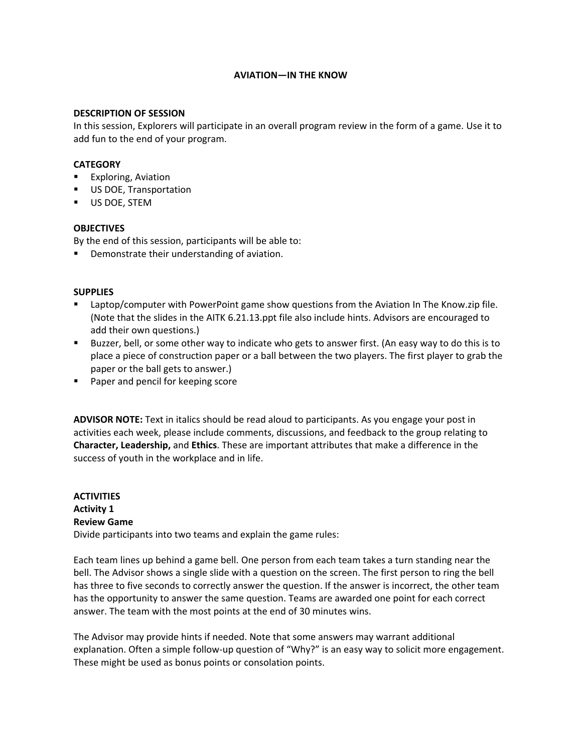# **AVIATION—IN THE KNOW**

#### **DESCRIPTION OF SESSION**

In this session, Explorers will participate in an overall program review in the form of a game. Use it to add fun to the end of your program.

# **CATEGORY**

- **Exploring, Aviation**
- **US DOE, Transportation**
- **US DOE, STEM**

### **OBJECTIVES**

By the end of this session, participants will be able to:

Demonstrate their understanding of aviation.

### **SUPPLIES**

- **EXECT** Laptop/computer with PowerPoint game show questions from the Aviation In The Know.zip file. (Note that the slides in the AITK 6.21.13.ppt file also include hints. Advisors are encouraged to add their own questions.)
- Buzzer, bell, or some other way to indicate who gets to answer first. (An easy way to do this is to place a piece of construction paper or a ball between the two players. The first player to grab the paper or the ball gets to answer.)
- **Paper and pencil for keeping score**

**ADVISOR NOTE:** Text in italics should be read aloud to participants. As you engage your post in activities each week, please include comments, discussions, and feedback to the group relating to **Character, Leadership,** and **Ethics**. These are important attributes that make a difference in the success of youth in the workplace and in life.

# **ACTIVITIES Activity 1 Review Game**

Divide participants into two teams and explain the game rules:

Each team lines up behind a game bell. One person from each team takes a turn standing near the bell. The Advisor shows a single slide with a question on the screen. The first person to ring the bell has three to five seconds to correctly answer the question. If the answer is incorrect, the other team has the opportunity to answer the same question. Teams are awarded one point for each correct answer. The team with the most points at the end of 30 minutes wins.

The Advisor may provide hints if needed. Note that some answers may warrant additional explanation. Often a simple follow-up question of "Why?" is an easy way to solicit more engagement. These might be used as bonus points or consolation points.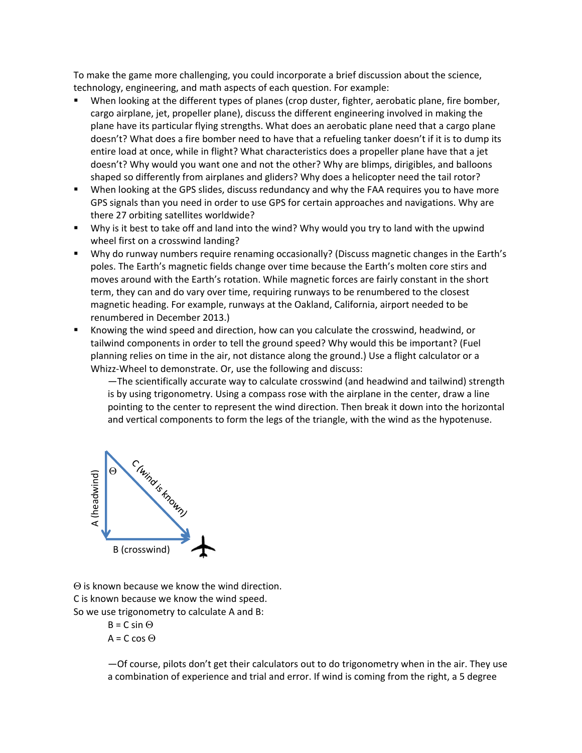To make the game more challenging, you could incorporate a brief discussion about the science, technology, engineering, and math aspects of each question. For example:

- When looking at the different types of planes (crop duster, fighter, aerobatic plane, fire bomber, cargo airplane, jet, propeller plane), discuss the different engineering involved in making the plane have its particular flying strengths. What does an aerobatic plane need that a cargo plane doesn't? What does a fire bomber need to have that a refueling tanker doesn't if it is to dump its entire load at once, while in flight? What characteristics does a propeller plane have that a jet doesn't? Why would you want one and not the other? Why are blimps, dirigibles, and balloons shaped so differently from airplanes and gliders? Why does a helicopter need the tail rotor?
- When looking at the GPS slides, discuss redundancy and why the FAA requires you to have more GPS signals than you need in order to use GPS for certain approaches and navigations. Why are there 27 orbiting satellites worldwide?
- Why is it best to take off and land into the wind? Why would you try to land with the upwind wheel first on a crosswind landing?
- Why do runway numbers require renaming occasionally? (Discuss magnetic changes in the Earth's poles. The Earth's magnetic fields change over time because the Earth's molten core stirs and moves around with the Earth's rotation. While magnetic forces are fairly constant in the short term, they can and do vary over time, requiring runways to be renumbered to the closest magnetic heading. For example, runways at the Oakland, California, airport needed to be renumbered in December 2013.)
- Knowing the wind speed and direction, how can you calculate the crosswind, headwind, or tailwind components in order to tell the ground speed? Why would this be important? (Fuel planning relies on time in the air, not distance along the ground.) Use a flight calculator or a Whizz‐Wheel to demonstrate. Or, use the following and discuss:

—The scientifically accurate way to calculate crosswind (and headwind and tailwind) strength is by using trigonometry. Using a compass rose with the airplane in the center, draw a line pointing to the center to represent the wind direction. Then break it down into the horizontal and vertical components to form the legs of the triangle, with the wind as the hypotenuse.



 $\Theta$  is known because we know the wind direction. C is known because we know the wind speed.

So we use trigonometry to calculate A and B:

 $B = C \sin \Theta$  $A = C \cos \Theta$ 

—Of course, pilots don't get their calculators out to do trigonometry when in the air. They use a combination of experience and trial and error. If wind is coming from the right, a 5 degree